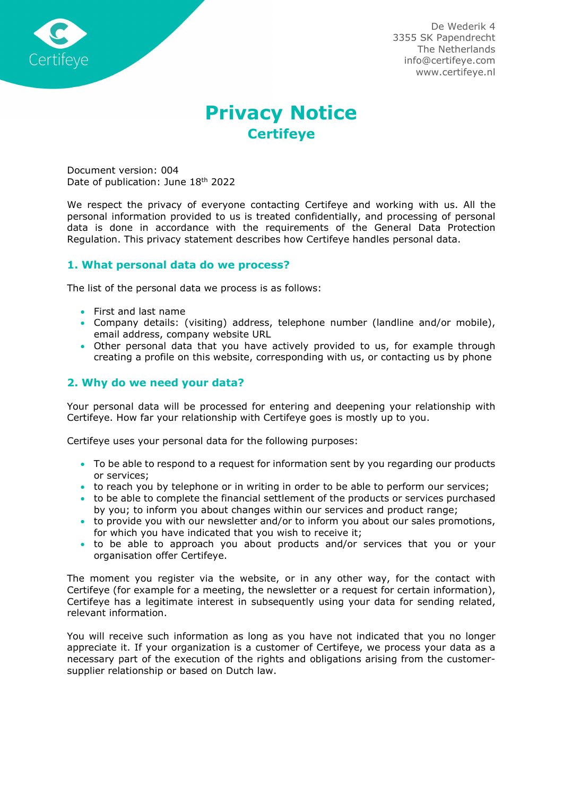

De Wederik 4 3355 SK Papendrecht The Netherlands info@certifeye.com www.certifeye.nl

# Privacy Notice **Certifeye**

Document version: 004 Date of publication: June 18<sup>th</sup> 2022

We respect the privacy of everyone contacting Certifeye and working with us. All the personal information provided to us is treated confidentially, and processing of personal data is done in accordance with the requirements of the General Data Protection Regulation. This privacy statement describes how Certifeye handles personal data.

## 1. What personal data do we process?

The list of the personal data we process is as follows:

- First and last name
- Company details: (visiting) address, telephone number (landline and/or mobile), email address, company website URL
- Other personal data that you have actively provided to us, for example through creating a profile on this website, corresponding with us, or contacting us by phone

## 2. Why do we need your data?

Your personal data will be processed for entering and deepening your relationship with Certifeye. How far your relationship with Certifeye goes is mostly up to you.

Certifeye uses your personal data for the following purposes:

- To be able to respond to a request for information sent by you regarding our products or services;
- to reach you by telephone or in writing in order to be able to perform our services;
- to be able to complete the financial settlement of the products or services purchased by you; to inform you about changes within our services and product range;
- to provide you with our newsletter and/or to inform you about our sales promotions, for which you have indicated that you wish to receive it;
- to be able to approach you about products and/or services that you or your organisation offer Certifeye.

The moment you register via the website, or in any other way, for the contact with Certifeye (for example for a meeting, the newsletter or a request for certain information), Certifeye has a legitimate interest in subsequently using your data for sending related, relevant information.

You will receive such information as long as you have not indicated that you no longer appreciate it. If your organization is a customer of Certifeye, we process your data as a necessary part of the execution of the rights and obligations arising from the customersupplier relationship or based on Dutch law.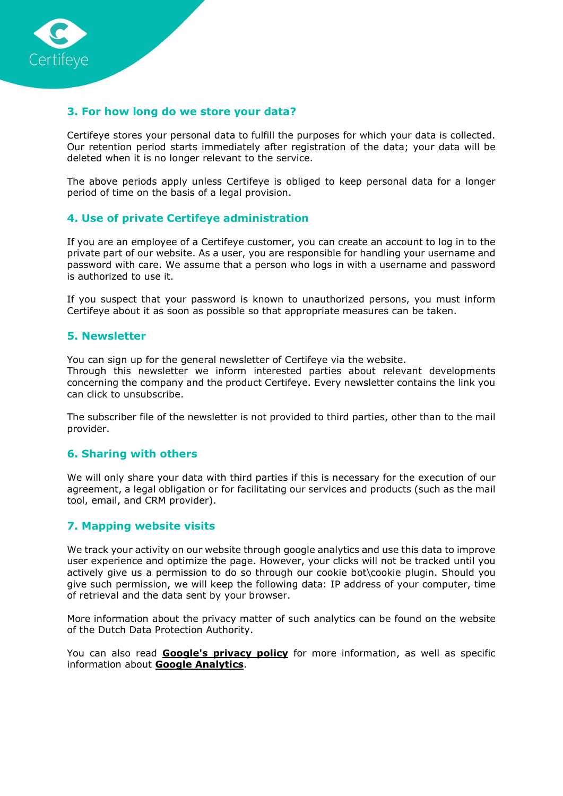

## 3. For how long do we store your data?

Certifeye stores your personal data to fulfill the purposes for which your data is collected. Our retention period starts immediately after registration of the data; your data will be deleted when it is no longer relevant to the service.

The above periods apply unless Certifeye is obliged to keep personal data for a longer period of time on the basis of a legal provision.

## 4. Use of private Certifeye administration

If you are an employee of a Certifeye customer, you can create an account to log in to the private part of our website. As a user, you are responsible for handling your username and password with care. We assume that a person who logs in with a username and password is authorized to use it.

If you suspect that your password is known to unauthorized persons, you must inform Certifeye about it as soon as possible so that appropriate measures can be taken.

#### 5. Newsletter

You can sign up for the general newsletter of Certifeye via the website.

Through this newsletter we inform interested parties about relevant developments concerning the company and the product Certifeye. Every newsletter contains the link you can click to unsubscribe.

The subscriber file of the newsletter is not provided to third parties, other than to the mail provider.

#### 6. Sharing with others

We will only share your data with third parties if this is necessary for the execution of our agreement, a legal obligation or for facilitating our services and products (such as the mail tool, email, and CRM provider).

#### 7. Mapping website visits

We track your activity on our website through google analytics and use this data to improve user experience and optimize the page. However, your clicks will not be tracked until you actively give us a permission to do so through our cookie bot\cookie plugin. Should you give such permission, we will keep the following data: IP address of your computer, time of retrieval and the data sent by your browser.

More information about the privacy matter of such analytics can be found on the website of the Dutch Data Protection Authority.

You can also read **Google's privacy policy** for more information, as well as specific information about **Google Analytics**.